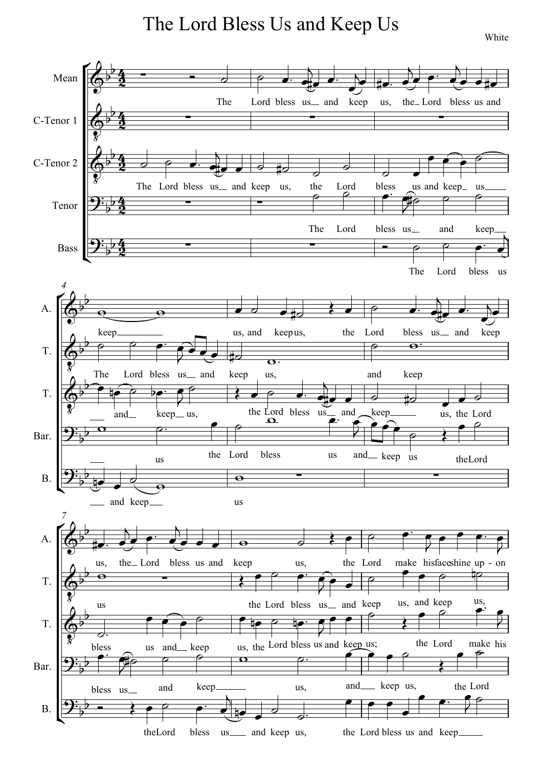The Lord Bless Us and Keep Us

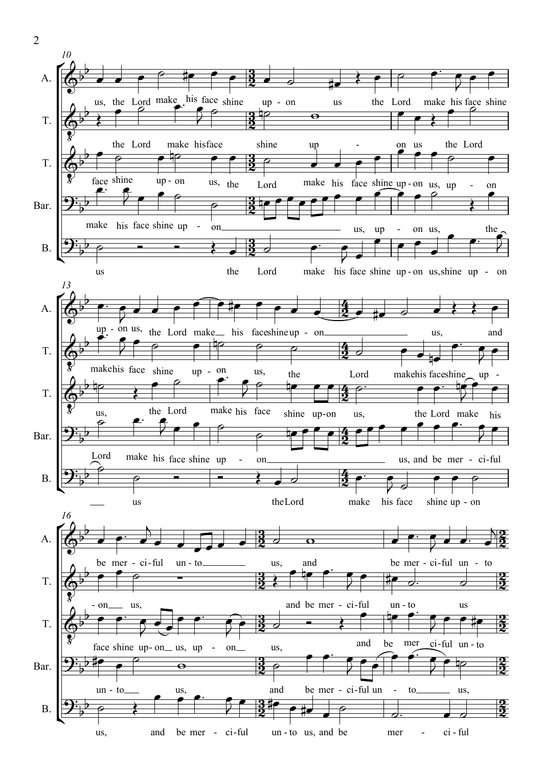

2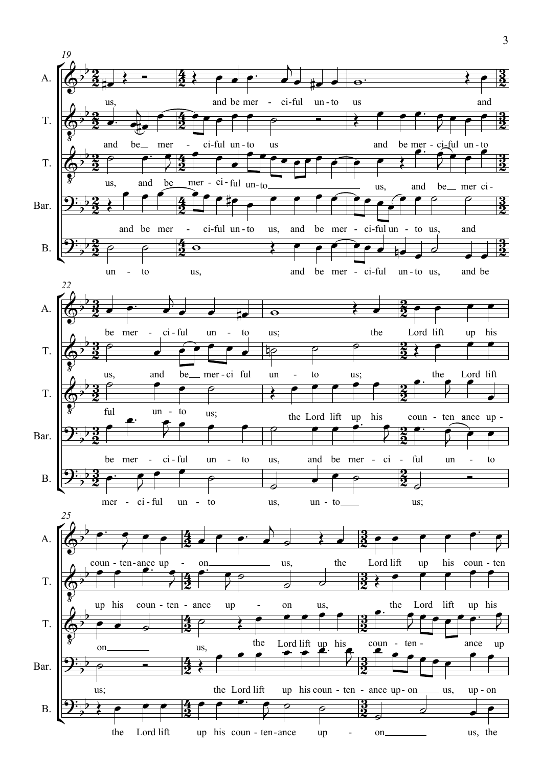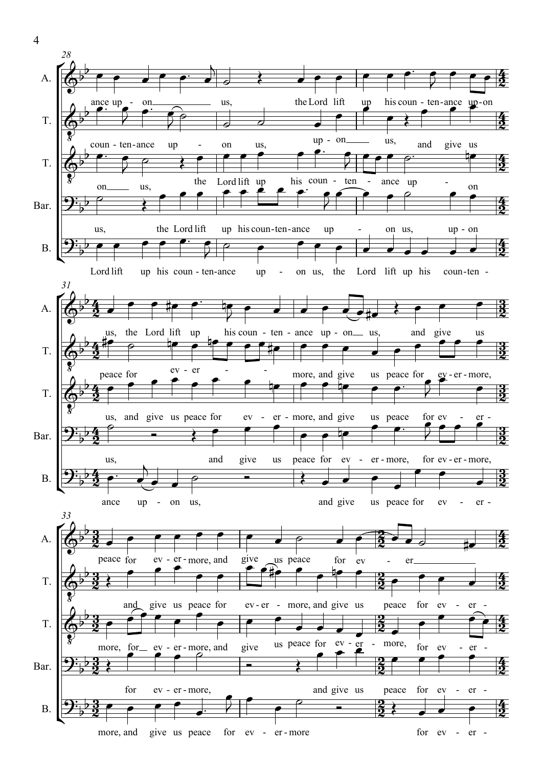

4